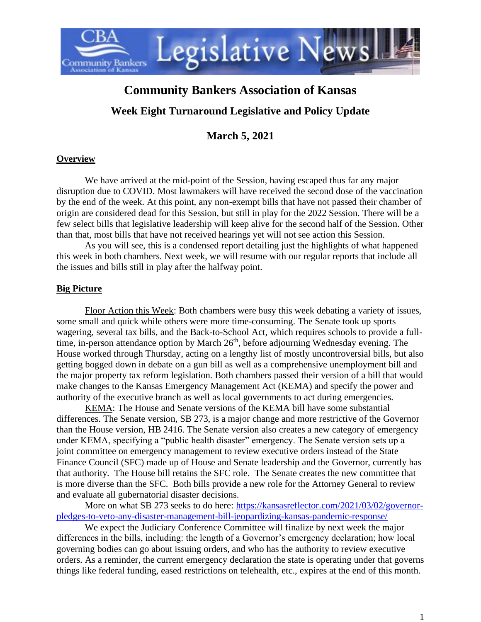

# **Community Bankers Association of Kansas**

## **Week Eight Turnaround Legislative and Policy Update**

**March 5, 2021**

### **Overview**

We have arrived at the mid-point of the Session, having escaped thus far any major disruption due to COVID. Most lawmakers will have received the second dose of the vaccination by the end of the week. At this point, any non-exempt bills that have not passed their chamber of origin are considered dead for this Session, but still in play for the 2022 Session. There will be a few select bills that legislative leadership will keep alive for the second half of the Session. Other than that, most bills that have not received hearings yet will not see action this Session.

As you will see, this is a condensed report detailing just the highlights of what happened this week in both chambers. Next week, we will resume with our regular reports that include all the issues and bills still in play after the halfway point.

#### **Big Picture**

Floor Action this Week: Both chambers were busy this week debating a variety of issues, some small and quick while others were more time-consuming. The Senate took up sports wagering, several tax bills, and the Back-to-School Act, which requires schools to provide a fulltime, in-person attendance option by March 26<sup>th</sup>, before adjourning Wednesday evening. The House worked through Thursday, acting on a lengthy list of mostly uncontroversial bills, but also getting bogged down in debate on a gun bill as well as a comprehensive unemployment bill and the major property tax reform legislation. Both chambers passed their version of a bill that would make changes to the Kansas Emergency Management Act (KEMA) and specify the power and authority of the executive branch as well as local governments to act during emergencies.

KEMA: The House and Senate versions of the KEMA bill have some substantial differences. The Senate version, SB 273, is a major change and more restrictive of the Governor than the House version, HB 2416. The Senate version also creates a new category of emergency under KEMA, specifying a "public health disaster" emergency. The Senate version sets up a joint committee on emergency management to review executive orders instead of the State Finance Council (SFC) made up of House and Senate leadership and the Governor, currently has that authority. The House bill retains the SFC role. The Senate creates the new committee that is more diverse than the SFC. Both bills provide a new role for the Attorney General to review and evaluate all gubernatorial disaster decisions.

More on what SB 273 seeks to do here: [https://kansasreflector.com/2021/03/02/governor](https://kansasreflector.com/2021/03/02/governor-pledges-to-veto-any-disaster-management-bill-jeopardizing-kansas-pandemic-response/)[pledges-to-veto-any-disaster-management-bill-jeopardizing-kansas-pandemic-response/](https://kansasreflector.com/2021/03/02/governor-pledges-to-veto-any-disaster-management-bill-jeopardizing-kansas-pandemic-response/)

We expect the Judiciary Conference Committee will finalize by next week the major differences in the bills, including: the length of a Governor's emergency declaration; how local governing bodies can go about issuing orders, and who has the authority to review executive orders. As a reminder, the current emergency declaration the state is operating under that governs things like federal funding, eased restrictions on telehealth, etc., expires at the end of this month.